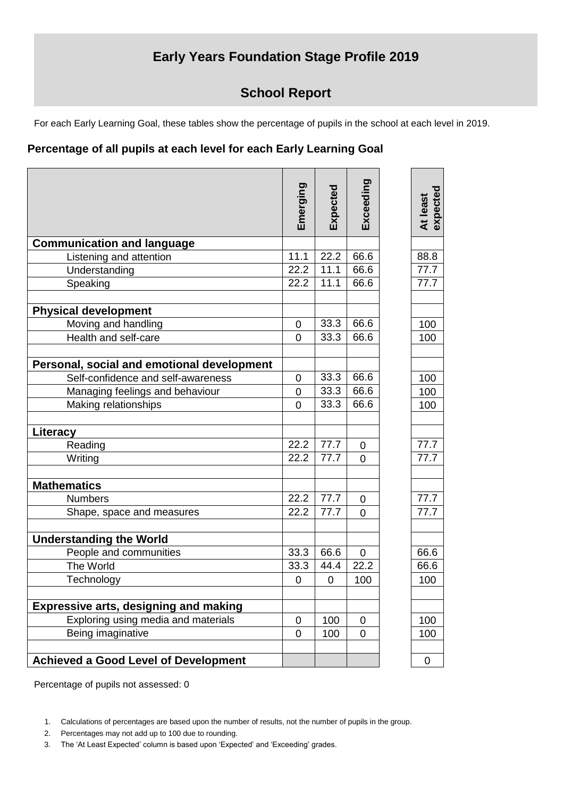## **Early Years Foundation Stage Profile 2019**

## **School Report**

For each Early Learning Goal, these tables show the percentage of pupils in the school at each level in 2019.

## **Percentage of all pupils at each level for each Early Learning Goal**

|                                              | Emerging       | Expected    | Exceeding      | At least<br>expected |
|----------------------------------------------|----------------|-------------|----------------|----------------------|
| <b>Communication and language</b>            |                |             |                |                      |
| Listening and attention                      | 11.1           | 22.2        | 66.6           | 88.8                 |
| Understanding                                | 22.2           | 11.1        | 66.6           | 77.7                 |
| Speaking                                     | 22.2           | 11.1        | 66.6           | 77.7                 |
| <b>Physical development</b>                  |                |             |                |                      |
| Moving and handling                          | $\mathbf 0$    | 33.3        | 66.6           | 100                  |
| Health and self-care                         | $\overline{0}$ | 33.3        | 66.6           | 100                  |
| Personal, social and emotional development   |                |             |                |                      |
| Self-confidence and self-awareness           | 0              | 33.3        | 66.6           | 100                  |
| Managing feelings and behaviour              | $\mathbf 0$    | 33.3        | 66.6           | 100                  |
| Making relationships                         | $\Omega$       | 33.3        | 66.6           | 100                  |
| Literacy                                     |                |             |                |                      |
| Reading                                      | 22.2           | 77.7        | 0              | 77.7                 |
| Writing                                      | 22.2           | 77.7        | 0              | 77.7                 |
| <b>Mathematics</b>                           |                |             |                |                      |
| <b>Numbers</b>                               | 22.2           | 77.7        | 0              | 77.7                 |
| Shape, space and measures                    | 22.2           | 77.7        | $\overline{0}$ | 77.7                 |
| <b>Understanding the World</b>               |                |             |                |                      |
| People and communities                       | 33.3           | 66.6        | $\mathbf 0$    | 66.6                 |
| The World                                    | 33.3           | 44.4        | 22.2           | 66.6                 |
| Technology                                   | $\pmb{0}$      | $\mathbf 0$ | 100            | 100                  |
| <b>Expressive arts, designing and making</b> |                |             |                |                      |
| Exploring using media and materials          | $\mathbf 0$    | 100         | $\mathbf 0$    | 100                  |
| Being imaginative                            | 0              | 100         | 0              | 100                  |
| <b>Achieved a Good Level of Development</b>  |                |             |                | 0                    |
|                                              |                |             |                |                      |

Percentage of pupils not assessed: 0

- 2. Percentages may not add up to 100 due to rounding.
- 3. The 'At Least Expected' column is based upon 'Expected' and 'Exceeding' grades.

<sup>1.</sup> Calculations of percentages are based upon the number of results, not the number of pupils in the group.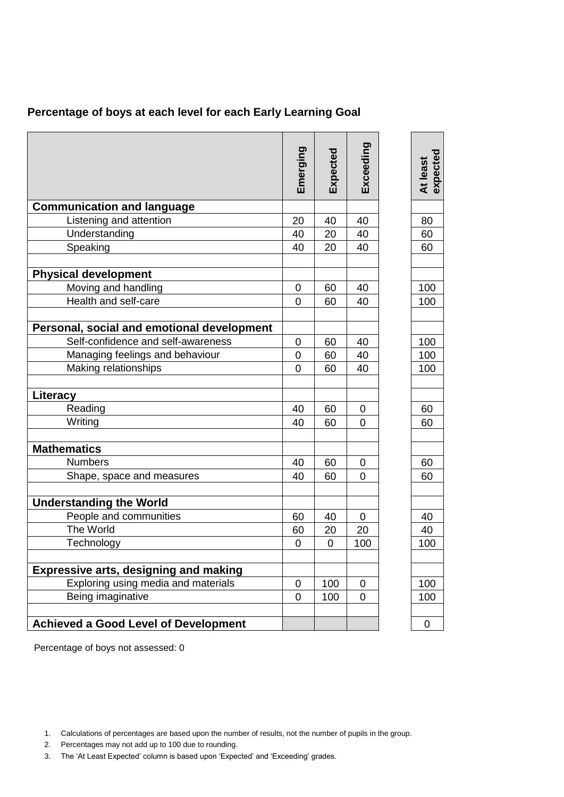|  |  | Percentage of boys at each level for each Early Learning Goal |  |  |  |
|--|--|---------------------------------------------------------------|--|--|--|
|--|--|---------------------------------------------------------------|--|--|--|

|                                              | Emerging       | Expected | Exceeding | expected<br>At least |
|----------------------------------------------|----------------|----------|-----------|----------------------|
| <b>Communication and language</b>            |                |          |           |                      |
| Listening and attention                      | 20             | 40       | 40        | 80                   |
| Understanding                                | 40             | 20       | 40        | 60                   |
| Speaking                                     | 40             | 20       | 40        | 60                   |
| <b>Physical development</b>                  |                |          |           |                      |
| Moving and handling                          | $\overline{0}$ | 60       | 40        | 100                  |
| Health and self-care                         | 0              | 60       | 40        | 100                  |
| Personal, social and emotional development   |                |          |           |                      |
| Self-confidence and self-awareness           | $\mathbf 0$    | 60       | 40        | 100                  |
| Managing feelings and behaviour              | 0              | 60       | 40        | 100                  |
| Making relationships                         | $\mathbf 0$    | 60       | 40        | 100                  |
| Literacy                                     |                |          |           |                      |
| Reading                                      | 40             | 60       | 0         | 60                   |
| Writing                                      | 40             | 60       | 0         | 60                   |
| <b>Mathematics</b>                           |                |          |           |                      |
| <b>Numbers</b>                               | 40             | 60       | 0         | 60                   |
| Shape, space and measures                    | 40             | 60       | 0         | 60                   |
| <b>Understanding the World</b>               |                |          |           |                      |
| People and communities                       | 60             | 40       | 0         | 40                   |
| The World                                    | 60             | 20       | 20        | 40                   |
| Technology                                   | $\mathbf 0$    | 0        | 100       | 100                  |
|                                              |                |          |           |                      |
| <b>Expressive arts, designing and making</b> |                |          |           |                      |
| Exploring using media and materials          | $\mathbf 0$    | 100      | 0         | 100                  |
| Being imaginative                            | 0              | 100      | 0         | 100                  |
| <b>Achieved a Good Level of Development</b>  |                |          |           | 0                    |

Percentage of boys not assessed: 0

- 2. Percentages may not add up to 100 due to rounding.
- 3. The 'At Least Expected' column is based upon 'Expected' and 'Exceeding' grades.

<sup>1.</sup> Calculations of percentages are based upon the number of results, not the number of pupils in the group.